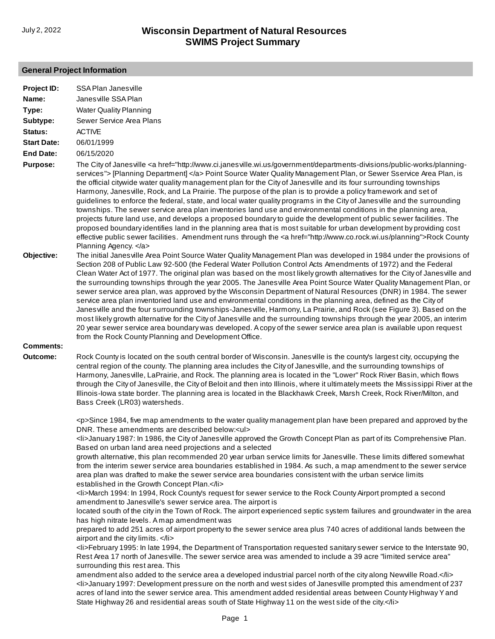## **General Project Information**

| Project ID:        | SSA Plan Janesville                                                                                                                                                                                                                                                                                                                                                                                                                                                                                                                                                                                                                                                                                                                                                                                                                                                                                                                                                                                                                                                                                                                                                    |
|--------------------|------------------------------------------------------------------------------------------------------------------------------------------------------------------------------------------------------------------------------------------------------------------------------------------------------------------------------------------------------------------------------------------------------------------------------------------------------------------------------------------------------------------------------------------------------------------------------------------------------------------------------------------------------------------------------------------------------------------------------------------------------------------------------------------------------------------------------------------------------------------------------------------------------------------------------------------------------------------------------------------------------------------------------------------------------------------------------------------------------------------------------------------------------------------------|
| Name:              | Janes ville SSA Plan                                                                                                                                                                                                                                                                                                                                                                                                                                                                                                                                                                                                                                                                                                                                                                                                                                                                                                                                                                                                                                                                                                                                                   |
| Type:              | <b>Water Quality Planning</b>                                                                                                                                                                                                                                                                                                                                                                                                                                                                                                                                                                                                                                                                                                                                                                                                                                                                                                                                                                                                                                                                                                                                          |
| Subtype:           | Sewer Service Area Plans                                                                                                                                                                                                                                                                                                                                                                                                                                                                                                                                                                                                                                                                                                                                                                                                                                                                                                                                                                                                                                                                                                                                               |
| Status:            | <b>ACTIVE</b>                                                                                                                                                                                                                                                                                                                                                                                                                                                                                                                                                                                                                                                                                                                                                                                                                                                                                                                                                                                                                                                                                                                                                          |
| <b>Start Date:</b> | 06/01/1999                                                                                                                                                                                                                                                                                                                                                                                                                                                                                                                                                                                                                                                                                                                                                                                                                                                                                                                                                                                                                                                                                                                                                             |
| <b>End Date:</b>   | 06/15/2020                                                                                                                                                                                                                                                                                                                                                                                                                                                                                                                                                                                                                                                                                                                                                                                                                                                                                                                                                                                                                                                                                                                                                             |
| Purpose:           | The City of Janesville <a href="http://www.ci.janesville.wi.us/government/departments-divisions/public-works/planning-&lt;br&gt;services"> [Planning Department] </a> Point Source Water Quality Management Plan, or Sewer Sservice Area Plan, is<br>the official citywide water quality management plan for the City of Janesville and its four surrounding townships<br>Harmony, Janesville, Rock, and La Prairie. The purpose of the plan is to provide a policy framework and set of<br>guidelines to enforce the federal, state, and local water quality programs in the City of Janesville and the surrounding<br>townships. The sewer service area plan inventories land use and environmental conditions in the planning area,<br>projects future land use, and develops a proposed boundary to guide the development of public sewer facilities. The<br>proposed boundary identifies land in the planning area that is most suitable for urban development by providing cost<br>effective public sewer facilities. Amendment runs through the <a href="http://www.co.rock.wi.us/planning">Rock County<br/>Planning Agency. </a>                               |
| Objective:         | The initial Janesville Area Point Source Water Quality Management Plan was developed in 1984 under the provisions of<br>Section 208 of Public Law 92-500 (the Federal Water Pollution Control Acts Amendments of 1972) and the Federal<br>Clean Water Act of 1977. The original plan was based on the most likely growth alternatives for the City of Janesville and<br>the surrounding townships through the year 2005. The Janesville Area Point Source Water Quality Management Plan, or<br>sewer service area plan, was approved by the Wisconsin Department of Natural Resources (DNR) in 1984. The sewer<br>service area plan inventoried land use and environmental conditions in the planning area, defined as the City of<br>Janesville and the four surrounding townships-Janesville, Harmony, La Prairie, and Rock (see Figure 3). Based on the<br>most likely growth alternative for the City of Janesville and the surrounding townships through the year 2005, an interim<br>20 year sewer service area boundary was developed. A copy of the sewer service area plan is available upon request<br>from the Rock County Planning and Development Office. |
| <b>Comments:</b>   |                                                                                                                                                                                                                                                                                                                                                                                                                                                                                                                                                                                                                                                                                                                                                                                                                                                                                                                                                                                                                                                                                                                                                                        |
| Outcome:           | Rock County is located on the south central border of Wisconsin. Janesville is the county's largest city, occupying the<br>central region of the county. The planning area includes the City of Janesville, and the surrounding townships of<br>Harmony, Janesville, LaPrairie, and Rock. The planning area is located in the "Lower" Rock River Basin, which flows<br>through the City of Janesville, the City of Beloit and then into Illinois, where it ultimately meets the Mississippi River at the<br>Illinois-lowa state border. The planning area is located in the Blackhawk Creek, Marsh Creek, Rock River/Milton, and<br>Bass Creek (LR03) watersheds.                                                                                                                                                                                                                                                                                                                                                                                                                                                                                                      |
|                    | <p>Since 1984, five map amendments to the water quality management plan have been prepared and approved by the<br/>DNR. These amendments are described below:<ul></ul></p>                                                                                                                                                                                                                                                                                                                                                                                                                                                                                                                                                                                                                                                                                                                                                                                                                                                                                                                                                                                             |
|                    | <li>January 1987: In 1986, the City of Janes ville approved the Growth Concept Plan as part of its Comprehensive Plan.<br/>Based on urban land area need projections and a selected<br/>growth alternative, this plan recommended 20 year urban service limits for Janesville. These limits differed somewhat<br/>from the interim sewer service area boundaries established in 1984. As such, a map amendment to the sewer service</li>                                                                                                                                                                                                                                                                                                                                                                                                                                                                                                                                                                                                                                                                                                                               |
|                    | area plan was drafted to make the sewer service area boundaries consistent with the urban service limits<br>established in the Growth Concept Plan.<br><li>March 1994: In 1994, Rock County's request for sewer service to the Rock County Airport prompted a second</li>                                                                                                                                                                                                                                                                                                                                                                                                                                                                                                                                                                                                                                                                                                                                                                                                                                                                                              |
|                    | amendment to Janesville's sewer service area. The airport is<br>located south of the city in the Town of Rock. The airport experienced septic system failures and groundwater in the area<br>has high nitrate levels. A map amendment was                                                                                                                                                                                                                                                                                                                                                                                                                                                                                                                                                                                                                                                                                                                                                                                                                                                                                                                              |
|                    | prepared to add 251 acres of airport property to the sewer service area plus 740 acres of additional lands between the<br>airport and the city limits.                                                                                                                                                                                                                                                                                                                                                                                                                                                                                                                                                                                                                                                                                                                                                                                                                                                                                                                                                                                                                 |
|                    | <li>February 1995: In late 1994, the Department of Transportation requested sanitary sewer service to the Interstate 90,<br/>Rest Area 17 north of Janesville. The sewer service area was amended to include a 39 acre "limited service area"<br/>surrounding this rest area. This</li>                                                                                                                                                                                                                                                                                                                                                                                                                                                                                                                                                                                                                                                                                                                                                                                                                                                                                |
|                    | amendment also added to the service area a developed industrial parcel north of the city along Newville Road.<br><li>January 1997: Development pressure on the north and west sides of Janesville prompted this amendment of 237<br/>acres of land into the sewer service area. This amendment added residential areas between County Highway Y and<br/>State Highway 26 and residential areas south of State Highway 11 on the west side of the city.</li>                                                                                                                                                                                                                                                                                                                                                                                                                                                                                                                                                                                                                                                                                                            |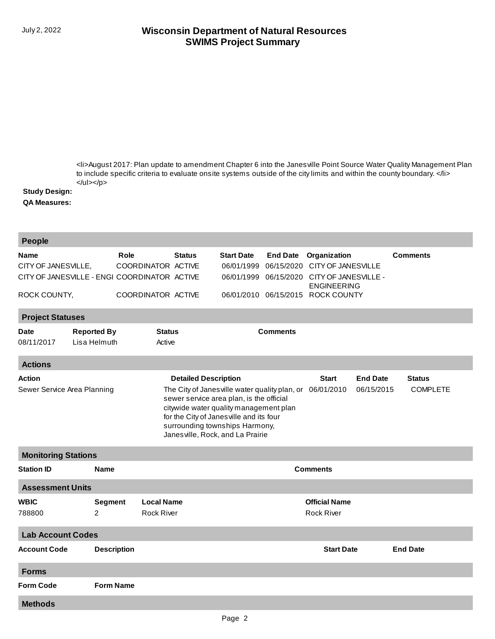## **SWIMS Project Summary** July 2, 2022 **Wisconsin Department of Natural Resources**

[<li>August 2017: Plan update to amendment Chapter 6 into the Janesville Point Source Water Quality Management Plan](http://prodoasint.dnr.wi.gov/swims/viewPlan.do?id=118549337) to include specific criteria to evaluate onsite systems outside of the city limits and within the county boundary. </li>  $<$ /ul> $<$ /p>

## **Study Design:**

**QA Measures:**

| <b>People</b>                                                   |                                     |                                                                                                                                                                                                                                                                                       |                                   |                                      |            |                                            |                                  |                 |  |
|-----------------------------------------------------------------|-------------------------------------|---------------------------------------------------------------------------------------------------------------------------------------------------------------------------------------------------------------------------------------------------------------------------------------|-----------------------------------|--------------------------------------|------------|--------------------------------------------|----------------------------------|-----------------|--|
| Name                                                            |                                     | Role                                                                                                                                                                                                                                                                                  | <b>Status</b>                     | <b>Start Date</b><br><b>End Date</b> |            | Organization                               |                                  | <b>Comments</b> |  |
| CITY OF JANESVILLE,                                             |                                     | COORDINATOR ACTIVE                                                                                                                                                                                                                                                                    |                                   | 06/01/1999                           | 06/15/2020 | <b>CITY OF JANESVILLE</b>                  |                                  |                 |  |
| CITY OF JANESVILLE - ENGI COORDINATOR ACTIVE                    |                                     |                                                                                                                                                                                                                                                                                       |                                   | 06/01/1999<br>06/15/2020             |            | CITY OF JANESVILLE -<br><b>ENGINEERING</b> |                                  |                 |  |
| ROCK COUNTY,                                                    |                                     | COORDINATOR ACTIVE                                                                                                                                                                                                                                                                    | 06/01/2010 06/15/2015 ROCK COUNTY |                                      |            |                                            |                                  |                 |  |
| <b>Project Statuses</b>                                         |                                     |                                                                                                                                                                                                                                                                                       |                                   |                                      |            |                                            |                                  |                 |  |
| <b>Reported By</b><br><b>Date</b><br>08/11/2017<br>Lisa Helmuth |                                     | <b>Status</b><br><b>Comments</b><br>Active                                                                                                                                                                                                                                            |                                   |                                      |            |                                            |                                  |                 |  |
| <b>Actions</b>                                                  |                                     |                                                                                                                                                                                                                                                                                       |                                   |                                      |            |                                            |                                  |                 |  |
| <b>Action</b><br>Sewer Service Area Planning                    |                                     | <b>Detailed Description</b><br>The City of Janes ville water quality plan, or<br>sewer service area plan, is the official<br>citywide water quality management plan<br>for the City of Janes ville and its four<br>surrounding townships Harmony,<br>Janesville, Rock, and La Prairie |                                   |                                      |            | <b>End Date</b><br>06/15/2015              | <b>Status</b><br><b>COMPLETE</b> |                 |  |
| <b>Monitoring Stations</b>                                      |                                     |                                                                                                                                                                                                                                                                                       |                                   |                                      |            |                                            |                                  |                 |  |
| <b>Station ID</b><br><b>Name</b>                                |                                     |                                                                                                                                                                                                                                                                                       |                                   | <b>Comments</b>                      |            |                                            |                                  |                 |  |
| <b>Assessment Units</b>                                         |                                     |                                                                                                                                                                                                                                                                                       |                                   |                                      |            |                                            |                                  |                 |  |
| <b>WBIC</b>                                                     | <b>Local Name</b><br><b>Segment</b> |                                                                                                                                                                                                                                                                                       |                                   |                                      |            | <b>Official Name</b>                       |                                  |                 |  |
| 788800                                                          | $\overline{2}$                      | <b>Rock River</b>                                                                                                                                                                                                                                                                     |                                   |                                      |            | <b>Rock River</b>                          |                                  |                 |  |
| <b>Lab Account Codes</b>                                        |                                     |                                                                                                                                                                                                                                                                                       |                                   |                                      |            |                                            |                                  |                 |  |
| <b>Account Code</b><br><b>Description</b>                       |                                     |                                                                                                                                                                                                                                                                                       |                                   | <b>Start Date</b>                    |            |                                            |                                  | <b>End Date</b> |  |
| <b>Forms</b>                                                    |                                     |                                                                                                                                                                                                                                                                                       |                                   |                                      |            |                                            |                                  |                 |  |
| <b>Form Code</b>                                                | <b>Form Name</b>                    |                                                                                                                                                                                                                                                                                       |                                   |                                      |            |                                            |                                  |                 |  |
| <b>Methods</b>                                                  |                                     |                                                                                                                                                                                                                                                                                       |                                   |                                      |            |                                            |                                  |                 |  |